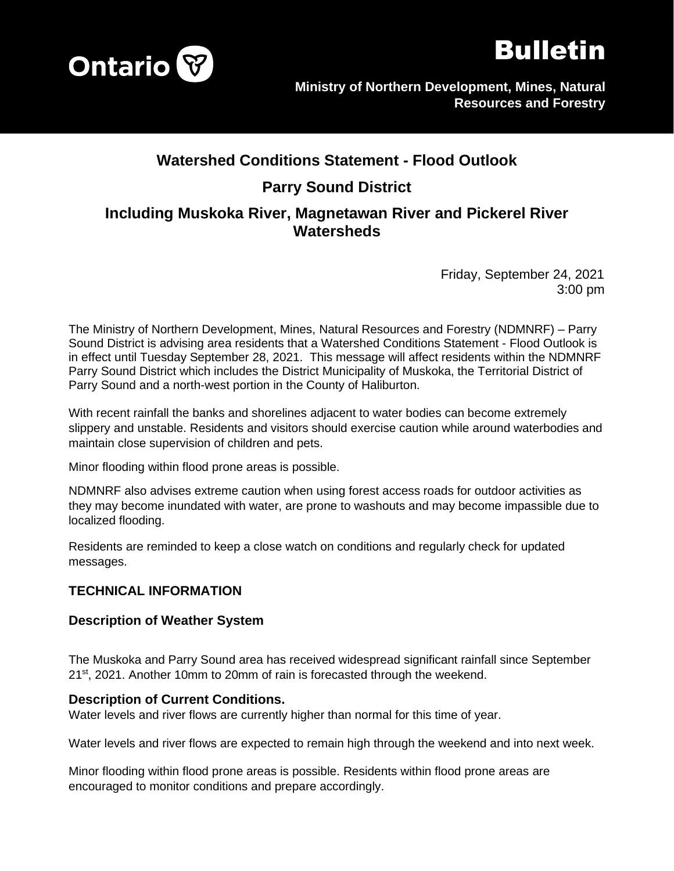



# **Watershed Conditions Statement - Flood Outlook Parry Sound District Including Muskoka River, Magnetawan River and Pickerel River Watersheds**

Friday, September 24, 2021 3:00 pm

The Ministry of Northern Development, Mines, Natural Resources and Forestry (NDMNRF) – Parry Sound District is advising area residents that a Watershed Conditions Statement - Flood Outlook is in effect until Tuesday September 28, 2021. This message will affect residents within the NDMNRF Parry Sound District which includes the District Municipality of Muskoka, the Territorial District of Parry Sound and a north-west portion in the County of Haliburton.

With recent rainfall the banks and shorelines adjacent to water bodies can become extremely slippery and unstable. Residents and visitors should exercise caution while around waterbodies and maintain close supervision of children and pets.

Minor flooding within flood prone areas is possible.

NDMNRF also advises extreme caution when using forest access roads for outdoor activities as they may become inundated with water, are prone to washouts and may become impassible due to localized flooding.

Residents are reminded to keep a close watch on conditions and regularly check for updated messages.

#### **TECHNICAL INFORMATION**

#### **Description of Weather System**

The Muskoka and Parry Sound area has received widespread significant rainfall since September 21st, 2021. Another 10mm to 20mm of rain is forecasted through the weekend.

#### **Description of Current Conditions.**

Water levels and river flows are currently higher than normal for this time of year.

Water levels and river flows are expected to remain high through the weekend and into next week.

Minor flooding within flood prone areas is possible. Residents within flood prone areas are encouraged to monitor conditions and prepare accordingly.